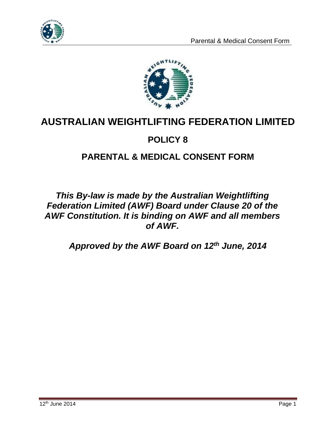



# **AUSTRALIAN WEIGHTLIFTING FEDERATION LIMITED**

### **POLICY 8**

## **PARENTAL & MEDICAL CONSENT FORM**

### *This By-law is made by the Australian Weightlifting Federation Limited (AWF) Board under Clause 20 of the AWF Constitution. It is binding on AWF and all members of AWF.*

*Approved by the AWF Board on 12th June, 2014*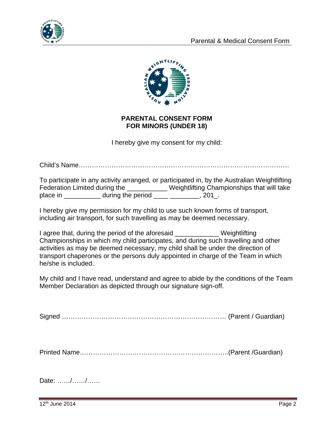



#### **PARENTAL CONSENT FORM FOR MINORS (UNDER 18)**

I hereby give my consent for my child:

Child's Name……………………………………………………………………………………

|          |                               | To participate in any activity arranged, or participated in, by the Australian Weightlifting |  |
|----------|-------------------------------|----------------------------------------------------------------------------------------------|--|
|          | Federation Limited during the | Weightlifting Championships that will take                                                   |  |
| place in | during the period             | $201$ _.                                                                                     |  |

I hereby give my permission for my child to use such known forms of transport, including air transport, for such travelling as may be deemed necessary.

I agree that, during the period of the aforesaid Weightlifting Championships in which my child participates, and during such travelling and other activities as may be deemed necessary, my child shall be under the direction of transport chaperones or the persons duly appointed in charge of the Team in which he/she is included.

My child and I have read, understand and agree to abide by the conditions of the Team Member Declaration as depicted through our signature sign-off.

Signed ………………………………………………………………… (Parent / Guardian)

Printed Name…………………………………………………………..(Parent /Guardian)

Date: ……/……/……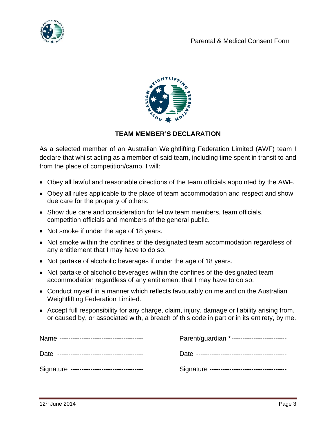



#### **TEAM MEMBER'S DECLARATION**

As a selected member of an Australian Weightlifting Federation Limited (AWF) team I declare that whilst acting as a member of said team, including time spent in transit to and from the place of competition/camp, I will:

- Obey all lawful and reasonable directions of the team officials appointed by the AWF.
- Obey all rules applicable to the place of team accommodation and respect and show due care for the property of others.
- Show due care and consideration for fellow team members, team officials, competition officials and members of the general public.
- Not smoke if under the age of 18 years.
- Not smoke within the confines of the designated team accommodation regardless of any entitlement that I may have to do so.
- Not partake of alcoholic beverages if under the age of 18 years.
- Not partake of alcoholic beverages within the confines of the designated team accommodation regardless of any entitlement that I may have to do so.
- Conduct myself in a manner which reflects favourably on me and on the Australian Weightlifting Federation Limited.
- Accept full responsibility for any charge, claim, injury, damage or liability arising from, or caused by, or associated with, a breach of this code in part or in its entirety, by me.

|                                             | Parent/guardian *------------------------     |
|---------------------------------------------|-----------------------------------------------|
|                                             |                                               |
| Signature --------------------------------- | Signature ----------------------------------- |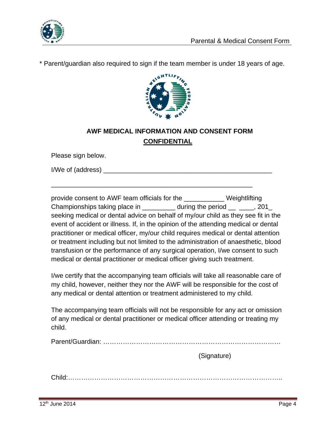

\* Parent/guardian also required to sign if the team member is under 18 years of age.



### **AWF MEDICAL INFORMATION AND CONSENT FORM CONFIDENTIAL**

Please sign below.

I/We of (address)  $\blacksquare$ 

provide consent to AWF team officials for the \_\_\_\_\_\_\_\_\_\_\_ Weightlifting Championships taking place in \_\_\_\_\_\_\_\_\_\_ during the period \_\_ \_\_\_\_, 201 seeking medical or dental advice on behalf of my/our child as they see fit in the event of accident or illness. If, in the opinion of the attending medical or dental practitioner or medical officer, my/our child requires medical or dental attention or treatment including but not limited to the administration of anaesthetic, blood transfusion or the performance of any surgical operation, I/we consent to such medical or dental practitioner or medical officer giving such treatment.

\_\_\_\_\_\_\_\_\_\_\_\_\_\_\_\_\_\_\_\_\_\_\_\_\_\_\_\_\_\_\_\_\_\_\_\_\_\_\_\_\_\_\_\_\_\_\_\_\_\_\_\_\_\_\_

I/we certify that the accompanying team officials will take all reasonable care of my child, however, neither they nor the AWF will be responsible for the cost of any medical or dental attention or treatment administered to my child.

The accompanying team officials will not be responsible for any act or omission of any medical or dental practitioner or medical officer attending or treating my child.

Parent/Guardian: ………………………………………………………………………

(Signature)

Child:……………………………………………………………………………………..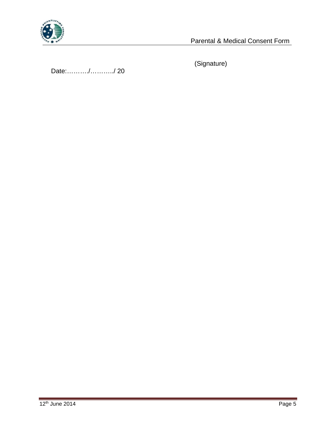

Parental & Medical Consent Form

Date:………./………../ 20

(Signature)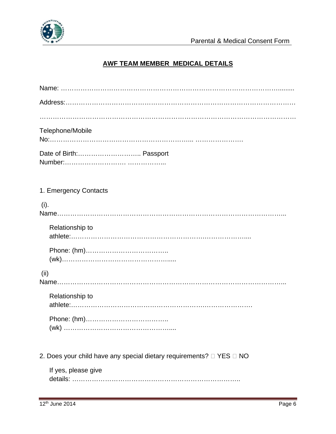

#### **AWF TEAM MEMBER MEDICAL DETAILS**

| Telephone/Mobile                                                               |
|--------------------------------------------------------------------------------|
|                                                                                |
| 1. Emergency Contacts                                                          |
| (i).                                                                           |
| Relationship to                                                                |
|                                                                                |
| (ii)                                                                           |
| Relationship to                                                                |
| (wk)                                                                           |
| 2. Does your child have any special dietary requirements? $\Box$ YES $\Box$ NO |
| If yes, please give                                                            |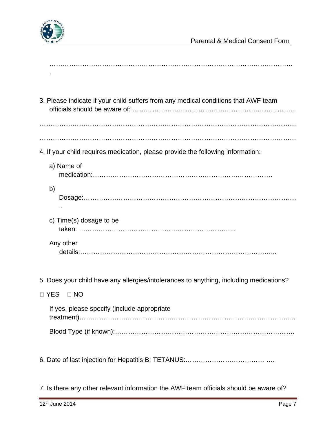

| 3. Please indicate if your child suffers from any medical conditions that AWF team     |
|----------------------------------------------------------------------------------------|
| 4. If your child requires medication, please provide the following information:        |
| a) Name of                                                                             |
| b)                                                                                     |
| c) Time(s) dosage to be                                                                |
| Any other                                                                              |
| 5. Does your child have any allergies/intolerances to anything, including medications? |
| □ YES<br>$\Box$ NO                                                                     |
| If yes, please specify (include appropriate                                            |

Blood Type (if known):……………………………………………………………………….

6. Date of last injection for Hepatitis B: TETANUS:……………………………… ….

7. Is there any other relevant information the AWF team officials should be aware of?